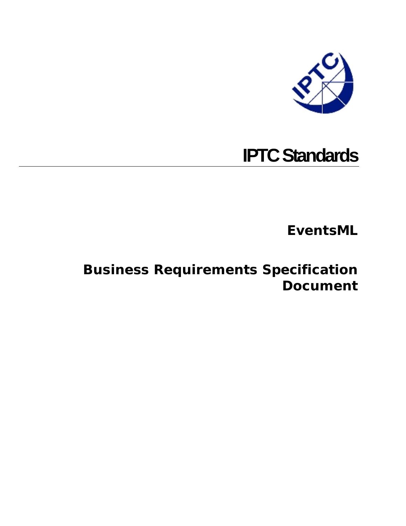

# **IPTC Standards**

**EventsML** 

## **Business Requirements Specification Document**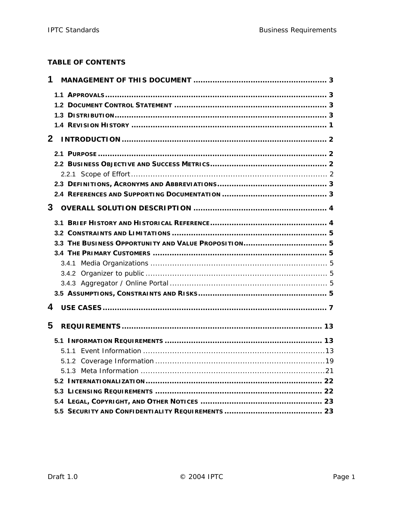#### **TABLE OF CONTENTS**

| 1            |  |
|--------------|--|
|              |  |
|              |  |
|              |  |
|              |  |
| $\mathbf{2}$ |  |
|              |  |
|              |  |
|              |  |
|              |  |
|              |  |
|              |  |
|              |  |
|              |  |
|              |  |
|              |  |
|              |  |
|              |  |
|              |  |
|              |  |
| 4            |  |
| 5            |  |
|              |  |
|              |  |
|              |  |
|              |  |
|              |  |
|              |  |
|              |  |
|              |  |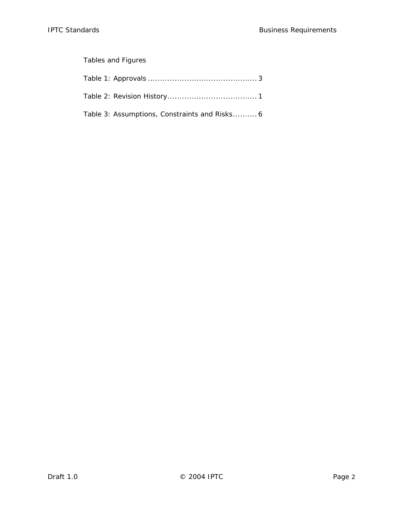## Tables and Figures

| Table 3: Assumptions, Constraints and Risks 6 |
|-----------------------------------------------|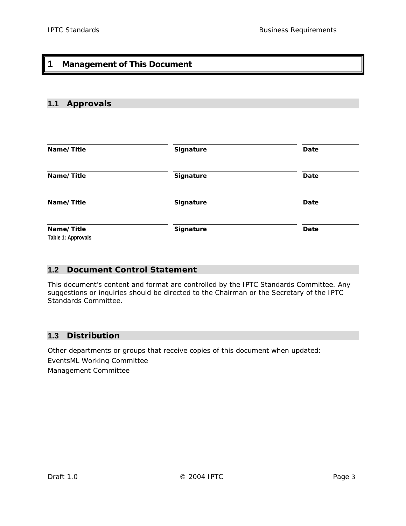## <span id="page-3-0"></span>**1 Management of This Document**

## **1.1 Approvals**

| Name/Title                       | Signature | Date |
|----------------------------------|-----------|------|
| Name/Title                       | Signature | Date |
| Name/Title                       | Signature | Date |
| Name/Title<br>Table 1: Approvals | Signature | Date |

#### **1.2 Document Control Statement**

This document's content and format are controlled by the IPTC Standards Committee. Any suggestions or inquiries should be directed to the Chairman or the Secretary of the IPTC Standards Committee.

#### **1.3 Distribution**

Other departments or groups that receive copies of this document when updated: EventsML Working Committee Management Committee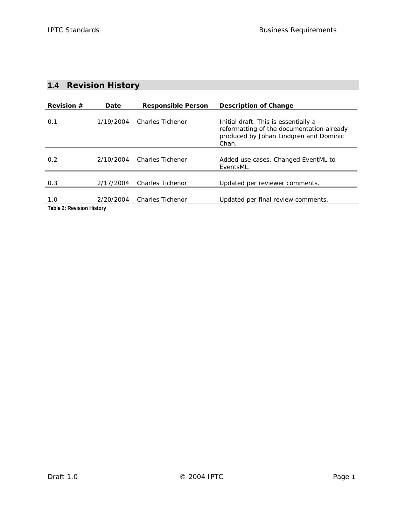## <span id="page-4-0"></span>**1.4 Revision History**

| <b>Revision <math>#</math></b> | Date      | <b>Responsible Person</b> | Description of Change                                                                                                                |
|--------------------------------|-----------|---------------------------|--------------------------------------------------------------------------------------------------------------------------------------|
| 0.1                            | 1/19/2004 | Charles Tichenor          | Initial draft. This is essentially a<br>reformatting of the documentation already<br>produced by Johan Lindgren and Dominic<br>Chan. |
| 0.2                            | 2/10/2004 | Charles Tichenor          | Added use cases. Changed EventML to<br>EventsML.                                                                                     |
| 0.3                            | 2/17/2004 | <b>Charles Tichenor</b>   | Updated per reviewer comments.                                                                                                       |
| 1.0                            | 2/20/2004 | <b>Charles Tichenor</b>   | Updated per final review comments.                                                                                                   |
| Table 2: Revision History      |           |                           |                                                                                                                                      |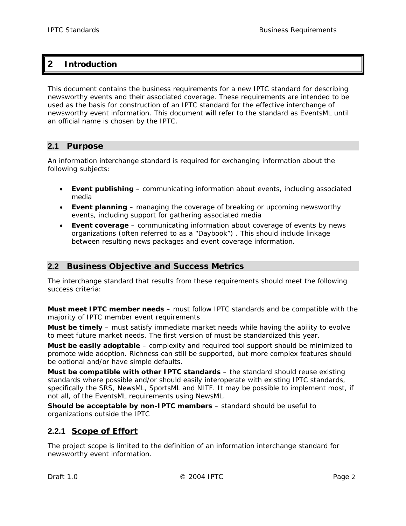## <span id="page-5-0"></span>**2 Introduction**

This document contains the business requirements for a new IPTC standard for describing newsworthy events and their associated coverage. These requirements are intended to be used as the basis for construction of an IPTC standard for the effective interchange of newsworthy event information. This document will refer to the standard as EventsML until an official name is chosen by the IPTC.

#### **2.1 Purpose**

An information interchange standard is required for exchanging information about the following subjects:

- **Event publishing** communicating information about events, including associated media
- **Event planning** managing the coverage of breaking or upcoming newsworthy events, including support for gathering associated media
- **Event coverage** communicating information about coverage of events by news organizations (often referred to as a "Daybook") . This should include linkage between resulting news packages and event coverage information.

## **2.2 Business Objective and Success Metrics**

The interchange standard that results from these requirements should meet the following success criteria:

**Must meet IPTC member needs** – must follow IPTC standards and be compatible with the majority of IPTC member event requirements

**Must be timely** – must satisfy immediate market needs while having the ability to evolve to meet future market needs. The first version of must be standardized this year.

**Must be easily adoptable** – complexity and required tool support should be minimized to promote wide adoption. Richness can still be supported, but more complex features should be optional and/or have simple defaults.

**Must be compatible with other IPTC standards** – the standard should reuse existing standards where possible and/or should easily interoperate with existing IPTC standards, specifically the SRS, NewsML, SportsML and NITF. It may be possible to implement most, if not all, of the EventsML requirements using NewsML.

**Should be acceptable by non-IPTC members** – standard should be useful to organizations outside the IPTC

## **2.2.1 Scope of Effort**

The project scope is limited to the definition of an information interchange standard for newsworthy event information.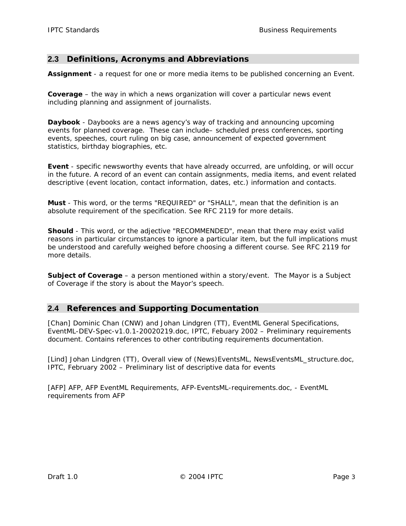## <span id="page-6-0"></span>**2.3 Definitions, Acronyms and Abbreviations**

**Assignment** - a request for one or more media items to be published concerning an Event.

**Coverage** – the way in which a news organization will cover a particular news event including planning and assignment of journalists.

**Daybook** - Daybooks are a news agency's way of tracking and announcing upcoming events for planned coverage. These can include– scheduled press conferences, sporting events, speeches, court ruling on big case, announcement of expected government statistics, birthday biographies, etc.

**Event** - specific newsworthy events that have already occurred, are unfolding, or will occur in the future. A record of an event can contain assignments, media items, and event related descriptive (event location, contact information, dates, etc.) information and contacts.

**Must** - This word, or the terms "REQUIRED" or "SHALL", mean that the definition is an absolute requirement of the specification. See RFC 2119 for more details.

**Should** - This word, or the adjective "RECOMMENDED", mean that there may exist valid reasons in particular circumstances to ignore a particular item, but the full implications must be understood and carefully weighed before choosing a different course. See RFC 2119 for more details.

**Subject of Coverage** – a person mentioned within a story/event. The Mayor is a Subject of Coverage if the story is about the Mayor's speech.

#### **2.4 References and Supporting Documentation**

[Chan] Dominic Chan (CNW) and Johan Lindgren (TT), *EventML General Specifications*, EventML-DEV-Spec-v1.0.1-20020219.doc, IPTC, Febuary 2002 – Preliminary requirements document. Contains references to other contributing requirements documentation.

[Lind] Johan Lindgren (TT), *Overall view of (News)EventsML*, NewsEventsML\_structure.doc, IPTC, February 2002 – Preliminary list of descriptive data for events

[AFP] AFP, *AFP EventML Requirements*, AFP-EventsML-requirements.doc, - EventML requirements from AFP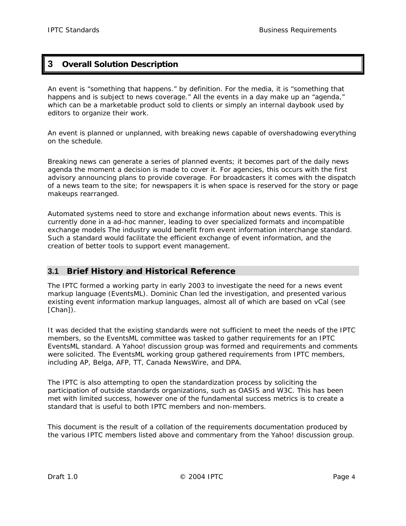## <span id="page-7-0"></span>**3 Overall Solution Description**

An event is "something that happens." by definition. For the media, it is "something that happens and is subject to news coverage." All the events in a day make up an "agenda," which can be a marketable product sold to clients or simply an internal daybook used by editors to organize their work.

An event is planned or unplanned, with breaking news capable of overshadowing everything on the schedule.

Breaking news can generate a series of planned events; it becomes part of the daily news agenda the moment a decision is made to cover it. For agencies, this occurs with the first advisory announcing plans to provide coverage. For broadcasters it comes with the dispatch of a news team to the site; for newspapers it is when space is reserved for the story or page makeups rearranged.

Automated systems need to store and exchange information about news events. This is currently done in a ad-hoc manner, leading to over specialized formats and incompatible exchange models The industry would benefit from event information interchange standard. Such a standard would facilitate the efficient exchange of event information, and the creation of better tools to support event management.

## **3.1 Brief History and Historical Reference**

The IPTC formed a working party in early 2003 to investigate the need for a news event markup language (EventsML). Dominic Chan led the investigation, and presented various existing event information markup languages, almost all of which are based on vCal (see [Chan]).

It was decided that the existing standards were not sufficient to meet the needs of the IPTC members, so the EventsML committee was tasked to gather requirements for an IPTC EventsML standard. A Yahoo! discussion group was formed and requirements and comments were solicited. The EventsML working group gathered requirements from IPTC members, including AP, Belga, AFP, TT, Canada NewsWire, and DPA.

The IPTC is also attempting to open the standardization process by soliciting the participation of outside standards organizations, such as OASIS and W3C. This has been met with limited success, however one of the fundamental success metrics is to create a standard that is useful to both IPTC members and non-members.

This document is the result of a collation of the requirements documentation produced by the various IPTC members listed above and commentary from the Yahoo! discussion group.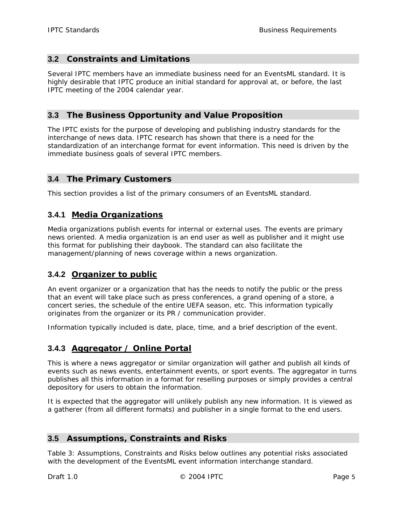## <span id="page-8-0"></span>**3.2 Constraints and Limitations**

Several IPTC members have an immediate business need for an EventsML standard. It is highly desirable that IPTC produce an initial standard for approval at, or before, the last IPTC meeting of the 2004 calendar year.

## **3.3 The Business Opportunity and Value Proposition**

The IPTC exists for the purpose of developing and publishing industry standards for the interchange of news data. IPTC research has shown that there is a need for the standardization of an interchange format for event information. This need is driven by the immediate business goals of several IPTC members.

#### **3.4 The Primary Customers**

This section provides a list of the primary consumers of an EventsML standard.

## **3.4.1 Media Organizations**

Media organizations publish events for internal or external uses. The events are primary news oriented. A media organization is an end user as well as publisher and it might use this format for publishing their daybook. The standard can also facilitate the management/planning of news coverage within a news organization.

## **3.4.2 Organizer to public**

An event organizer or a organization that has the needs to notify the public or the press that an event will take place such as press conferences, a grand opening of a store, a concert series, the schedule of the entire UEFA season, etc. This information typically originates from the organizer or its PR / communication provider.

Information typically included is date, place, time, and a brief description of the event.

## **3.4.3 Aggregator / Online Portal**

This is where a news aggregator or similar organization will gather and publish all kinds of events such as news events, entertainment events, or sport events. The aggregator in turns publishes all this information in a format for reselling purposes or simply provides a central depository for users to obtain the information.

It is expected that the aggregator will unlikely publish any new information. It is viewed as a gatherer (from all different formats) and publisher in a single format to the end users.

#### **3.5 Assumptions, Constraints and Risks**

[Table 3: Assumptions, Constraints and Risks](#page-9-1) below outlines any potential risks associated with the development of the EventsML event information interchange standard.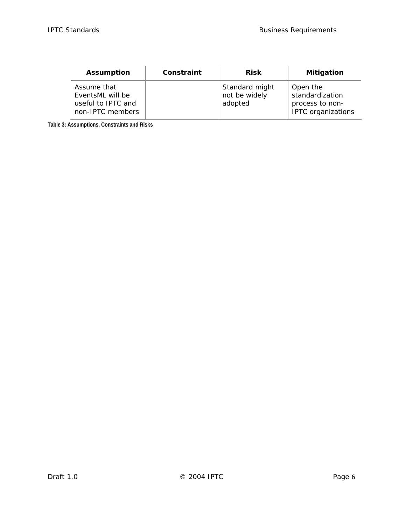<span id="page-9-0"></span>

| <b>Assumption</b>                                                         | Constraint | <b>Risk</b>                                | <b>Mitigation</b>                                                           |
|---------------------------------------------------------------------------|------------|--------------------------------------------|-----------------------------------------------------------------------------|
| Assume that<br>EventsML will be<br>useful to IPTC and<br>non-IPTC members |            | Standard might<br>not be widely<br>adopted | Open the<br>standardization<br>process to non-<br><b>IPTC</b> organizations |

<span id="page-9-1"></span>**Table 3: Assumptions, Constraints and Risks**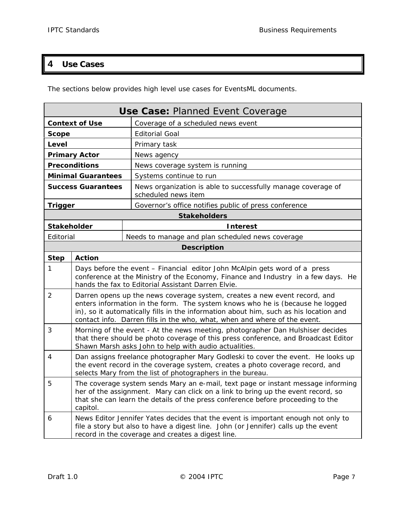## <span id="page-10-0"></span>**4 Use Cases**

The sections below provides high level use cases for EventsML documents.

| Use Case: Planned Event Coverage |                                                                                                                                                                                                                                                                                                                                  |                                                                                     |
|----------------------------------|----------------------------------------------------------------------------------------------------------------------------------------------------------------------------------------------------------------------------------------------------------------------------------------------------------------------------------|-------------------------------------------------------------------------------------|
| <b>Context of Use</b>            |                                                                                                                                                                                                                                                                                                                                  | Coverage of a scheduled news event                                                  |
| <b>Scope</b>                     |                                                                                                                                                                                                                                                                                                                                  | <b>Editorial Goal</b>                                                               |
| Level                            |                                                                                                                                                                                                                                                                                                                                  | Primary task                                                                        |
|                                  | <b>Primary Actor</b>                                                                                                                                                                                                                                                                                                             | News agency                                                                         |
|                                  | <b>Preconditions</b>                                                                                                                                                                                                                                                                                                             | News coverage system is running                                                     |
|                                  | <b>Minimal Guarantees</b>                                                                                                                                                                                                                                                                                                        | Systems continue to run                                                             |
|                                  | <b>Success Guarantees</b>                                                                                                                                                                                                                                                                                                        | News organization is able to successfully manage coverage of<br>scheduled news item |
| Trigger                          |                                                                                                                                                                                                                                                                                                                                  | Governor's office notifies public of press conference                               |
|                                  |                                                                                                                                                                                                                                                                                                                                  | <b>Stakeholders</b>                                                                 |
| <b>Stakeholder</b>               |                                                                                                                                                                                                                                                                                                                                  | <b>Interest</b>                                                                     |
| Editorial                        |                                                                                                                                                                                                                                                                                                                                  | Needs to manage and plan scheduled news coverage                                    |
|                                  |                                                                                                                                                                                                                                                                                                                                  | <b>Description</b>                                                                  |
| <b>Step</b>                      | <b>Action</b>                                                                                                                                                                                                                                                                                                                    |                                                                                     |
| 1                                | Days before the event - Financial editor John McAlpin gets word of a press<br>conference at the Ministry of the Economy, Finance and Industry in a few days. He<br>hands the fax to Editorial Assistant Darren Elvie.                                                                                                            |                                                                                     |
| 2                                | Darren opens up the news coverage system, creates a new event record, and<br>enters information in the form. The system knows who he is (because he logged<br>in), so it automatically fills in the information about him, such as his location and<br>contact info. Darren fills in the who, what, when and where of the event. |                                                                                     |
| 3                                | Morning of the event - At the news meeting, photographer Dan Hulshiser decides<br>that there should be photo coverage of this press conference, and Broadcast Editor<br>Shawn Marsh asks John to help with audio actualities.                                                                                                    |                                                                                     |
| 4                                | Dan assigns freelance photographer Mary Godleski to cover the event. He looks up<br>the event record in the coverage system, creates a photo coverage record, and<br>selects Mary from the list of photographers in the bureau.                                                                                                  |                                                                                     |
| 5                                | The coverage system sends Mary an e-mail, text page or instant message informing<br>her of the assignment. Mary can click on a link to bring up the event record, so<br>that she can learn the details of the press conference before proceeding to the<br>capitol.                                                              |                                                                                     |
| 6                                | News Editor Jennifer Yates decides that the event is important enough not only to<br>file a story but also to have a digest line. John (or Jennifer) calls up the event<br>record in the coverage and creates a digest line.                                                                                                     |                                                                                     |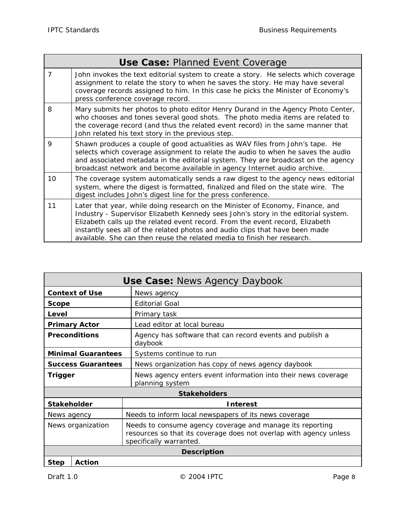|             | <b>Use Case: Planned Event Coverage</b>                                                                                                                                                                                                                                                                                                                                                                          |
|-------------|------------------------------------------------------------------------------------------------------------------------------------------------------------------------------------------------------------------------------------------------------------------------------------------------------------------------------------------------------------------------------------------------------------------|
| 7           | John invokes the text editorial system to create a story. He selects which coverage<br>assignment to relate the story to when he saves the story. He may have several<br>coverage records assigned to him. In this case he picks the Minister of Economy's<br>press conference coverage record.                                                                                                                  |
| 8           | Mary submits her photos to photo editor Henry Durand in the Agency Photo Center,<br>who chooses and tones several good shots. The photo media items are related to<br>the coverage record (and thus the related event record) in the same manner that<br>John related his text story in the previous step.                                                                                                       |
| $\mathsf Q$ | Shawn produces a couple of good actualities as WAV files from John's tape. He<br>selects which coverage assignment to relate the audio to when he saves the audio<br>and associated metadata in the editorial system. They are broadcast on the agency<br>broadcast network and become available in agency Internet audio archive.                                                                               |
| 10          | The coverage system automatically sends a raw digest to the agency news editorial<br>system, where the digest is formatted, finalized and filed on the state wire. The<br>digest includes John's digest line for the press conference.                                                                                                                                                                           |
| 11          | Later that year, while doing research on the Minister of Economy, Finance, and<br>Industry - Supervisor Elizabeth Kennedy sees John's story in the editorial system.<br>Elizabeth calls up the related event record. From the event record, Elizabeth<br>instantly sees all of the related photos and audio clips that have been made<br>available. She can then reuse the related media to finish her research. |

| <b>Use Case: News Agency Daybook</b> |                                                                                                                                                            |  |
|--------------------------------------|------------------------------------------------------------------------------------------------------------------------------------------------------------|--|
| <b>Context of Use</b>                | News agency                                                                                                                                                |  |
| <b>Scope</b>                         | <b>Editorial Goal</b>                                                                                                                                      |  |
| Level                                | Primary task                                                                                                                                               |  |
| <b>Primary Actor</b>                 | Lead editor at local bureau                                                                                                                                |  |
| <b>Preconditions</b>                 | Agency has software that can record events and publish a<br>daybook                                                                                        |  |
| <b>Minimal Guarantees</b>            | Systems continue to run                                                                                                                                    |  |
| <b>Success Guarantees</b>            | News organization has copy of news agency daybook                                                                                                          |  |
| <b>Trigger</b>                       | News agency enters event information into their news coverage<br>planning system                                                                           |  |
|                                      | <b>Stakeholders</b>                                                                                                                                        |  |
| <b>Stakeholder</b>                   | <b>Interest</b>                                                                                                                                            |  |
| News agency                          | Needs to inform local newspapers of its news coverage                                                                                                      |  |
| News organization                    | Needs to consume agency coverage and manage its reporting<br>resources so that its coverage does not overlap with agency unless<br>specifically warranted. |  |
| <b>Description</b>                   |                                                                                                                                                            |  |
| <b>Step</b><br>Action                |                                                                                                                                                            |  |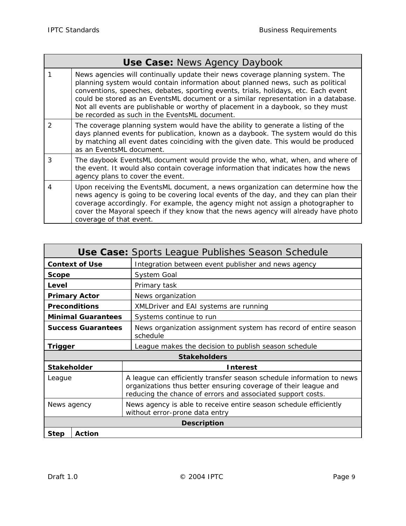f

|                | <b>Use Case: News Agency Daybook</b>                                                                                                                                                                                                                                                                                                                                                                                                                                               |
|----------------|------------------------------------------------------------------------------------------------------------------------------------------------------------------------------------------------------------------------------------------------------------------------------------------------------------------------------------------------------------------------------------------------------------------------------------------------------------------------------------|
|                | News agencies will continually update their news coverage planning system. The<br>planning system would contain information about planned news, such as political<br>conventions, speeches, debates, sporting events, trials, holidays, etc. Each event<br>could be stored as an EventsML document or a similar representation in a database.<br>Not all events are publishable or worthy of placement in a daybook, so they must<br>be recorded as such in the EventsML document. |
| $\mathfrak{D}$ | The coverage planning system would have the ability to generate a listing of the<br>days planned events for publication, known as a daybook. The system would do this<br>by matching all event dates coinciding with the given date. This would be produced<br>as an EventsML document.                                                                                                                                                                                            |
| 3              | The daybook EventsML document would provide the who, what, when, and where of<br>the event. It would also contain coverage information that indicates how the news<br>agency plans to cover the event.                                                                                                                                                                                                                                                                             |
| 4              | Upon receiving the EventsML document, a news organization can determine how the<br>news agency is going to be covering local events of the day, and they can plan their<br>coverage accordingly. For example, the agency might not assign a photographer to<br>cover the Mayoral speech if they know that the news agency will already have photo<br>coverage of that event.                                                                                                       |

| <b>Use Case:</b> Sports League Publishes Season Schedule |                                                                                                                                                                                                         |  |  |
|----------------------------------------------------------|---------------------------------------------------------------------------------------------------------------------------------------------------------------------------------------------------------|--|--|
| <b>Context of Use</b>                                    | Integration between event publisher and news agency                                                                                                                                                     |  |  |
| <b>Scope</b>                                             | System Goal                                                                                                                                                                                             |  |  |
| Level                                                    | Primary task                                                                                                                                                                                            |  |  |
| <b>Primary Actor</b>                                     | News organization                                                                                                                                                                                       |  |  |
| <b>Preconditions</b>                                     | XMLDriver and EAI systems are running                                                                                                                                                                   |  |  |
| <b>Minimal Guarantees</b>                                | Systems continue to run                                                                                                                                                                                 |  |  |
| <b>Success Guarantees</b>                                | News organization assignment system has record of entire season<br>schedule                                                                                                                             |  |  |
| <b>Trigger</b>                                           | League makes the decision to publish season schedule                                                                                                                                                    |  |  |
|                                                          | <b>Stakeholders</b>                                                                                                                                                                                     |  |  |
| <b>Stakeholder</b>                                       | <b>Interest</b>                                                                                                                                                                                         |  |  |
| League                                                   | A league can efficiently transfer season schedule information to news<br>organizations thus better ensuring coverage of their league and<br>reducing the chance of errors and associated support costs. |  |  |
| News agency                                              | News agency is able to receive entire season schedule efficiently<br>without error-prone data entry                                                                                                     |  |  |
| <b>Description</b>                                       |                                                                                                                                                                                                         |  |  |
| <b>Action</b><br><b>Step</b>                             |                                                                                                                                                                                                         |  |  |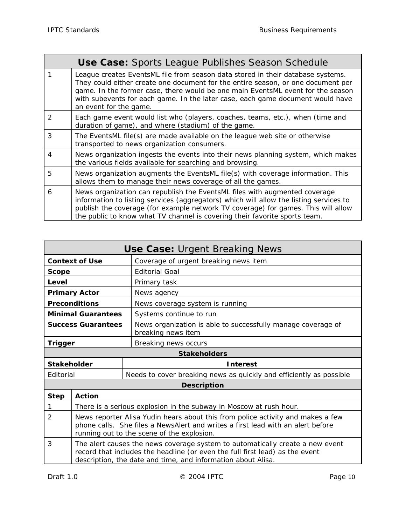Ť.

ä

|   | <b>Use Case:</b> Sports League Publishes Season Schedule                                                                                                                                                                                                                                                                                                           |
|---|--------------------------------------------------------------------------------------------------------------------------------------------------------------------------------------------------------------------------------------------------------------------------------------------------------------------------------------------------------------------|
|   | League creates EventsML file from season data stored in their database systems.<br>They could either create one document for the entire season, or one document per<br>game. In the former case, there would be one main EventsML event for the season<br>with subevents for each game. In the later case, each game document would have<br>an event for the game. |
| 2 | Each game event would list who (players, coaches, teams, etc.), when (time and<br>duration of game), and where (stadium) of the game.                                                                                                                                                                                                                              |
| 3 | The EventsML file(s) are made available on the league web site or otherwise<br>transported to news organization consumers.                                                                                                                                                                                                                                         |
| 4 | News organization ingests the events into their news planning system, which makes<br>the various fields available for searching and browsing.                                                                                                                                                                                                                      |
| 5 | News organization augments the EventsML file(s) with coverage information. This<br>allows them to manage their news coverage of all the games.                                                                                                                                                                                                                     |
| 6 | News organization can republish the EventsML files with augmented coverage<br>information to listing services (aggregators) which will allow the listing services to<br>publish the coverage (for example network TV coverage) for games. This will allow<br>the public to know what TV channel is covering their favorite sports team.                            |

| <b>Use Case: Urgent Breaking News</b> |                                                                                                                                                                                                                               |                                                                                    |
|---------------------------------------|-------------------------------------------------------------------------------------------------------------------------------------------------------------------------------------------------------------------------------|------------------------------------------------------------------------------------|
| <b>Context of Use</b>                 |                                                                                                                                                                                                                               | Coverage of urgent breaking news item                                              |
| <b>Scope</b>                          |                                                                                                                                                                                                                               | <b>Editorial Goal</b>                                                              |
| Level                                 |                                                                                                                                                                                                                               | Primary task                                                                       |
|                                       | <b>Primary Actor</b>                                                                                                                                                                                                          | News agency                                                                        |
|                                       | <b>Preconditions</b>                                                                                                                                                                                                          | News coverage system is running                                                    |
|                                       | <b>Minimal Guarantees</b>                                                                                                                                                                                                     | Systems continue to run                                                            |
| <b>Success Guarantees</b>             |                                                                                                                                                                                                                               | News organization is able to successfully manage coverage of<br>breaking news item |
| <b>Trigger</b>                        |                                                                                                                                                                                                                               | Breaking news occurs                                                               |
|                                       |                                                                                                                                                                                                                               | <b>Stakeholders</b>                                                                |
|                                       | <b>Stakeholder</b><br><b>Interest</b>                                                                                                                                                                                         |                                                                                    |
| Editorial                             |                                                                                                                                                                                                                               | Needs to cover breaking news as quickly and efficiently as possible                |
| <b>Description</b>                    |                                                                                                                                                                                                                               |                                                                                    |
| <b>Step</b>                           | <b>Action</b>                                                                                                                                                                                                                 |                                                                                    |
| 1                                     | There is a serious explosion in the subway in Moscow at rush hour.                                                                                                                                                            |                                                                                    |
| 2                                     | News reporter Alisa Yudin hears about this from police activity and makes a few<br>phone calls. She files a NewsAlert and writes a first lead with an alert before<br>running out to the scene of the explosion.              |                                                                                    |
| 3                                     | The alert causes the news coverage system to automatically create a new event<br>record that includes the headline (or even the full first lead) as the event<br>description, the date and time, and information about Alisa. |                                                                                    |

ł.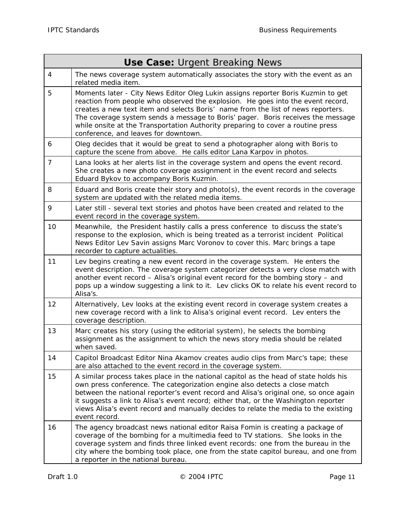| <b>Use Case: Urgent Breaking News</b> |                                                                                                                                                                                                                                                                                                                                                                                                                                                                       |  |
|---------------------------------------|-----------------------------------------------------------------------------------------------------------------------------------------------------------------------------------------------------------------------------------------------------------------------------------------------------------------------------------------------------------------------------------------------------------------------------------------------------------------------|--|
| $\overline{4}$                        | The news coverage system automatically associates the story with the event as an<br>related media item.                                                                                                                                                                                                                                                                                                                                                               |  |
| 5                                     | Moments later - City News Editor Oleg Lukin assigns reporter Boris Kuzmin to get<br>reaction from people who observed the explosion. He goes into the event record,<br>creates a new text item and selects Boris' name from the list of news reporters.<br>The coverage system sends a message to Boris' pager. Boris receives the message<br>while onsite at the Transportation Authority preparing to cover a routine press<br>conference, and leaves for downtown. |  |
| 6                                     | Oleg decides that it would be great to send a photographer along with Boris to<br>capture the scene from above. He calls editor Lana Karpov in photos.                                                                                                                                                                                                                                                                                                                |  |
| $\overline{7}$                        | Lana looks at her alerts list in the coverage system and opens the event record.<br>She creates a new photo coverage assignment in the event record and selects<br>Eduard Bykov to accompany Boris Kuzmin.                                                                                                                                                                                                                                                            |  |
| 8                                     | Eduard and Boris create their story and photo(s), the event records in the coverage<br>system are updated with the related media items.                                                                                                                                                                                                                                                                                                                               |  |
| 9                                     | Later still - several text stories and photos have been created and related to the<br>event record in the coverage system.                                                                                                                                                                                                                                                                                                                                            |  |
| 10                                    | Meanwhile, the President hastily calls a press conference to discuss the state's<br>response to the explosion, which is being treated as a terrorist incident Political<br>News Editor Lev Savin assigns Marc Voronov to cover this. Marc brings a tape<br>recorder to capture actualities.                                                                                                                                                                           |  |
| 11                                    | Lev begins creating a new event record in the coverage system. He enters the<br>event description. The coverage system categorizer detects a very close match with<br>another event record - Alisa's original event record for the bombing story - and<br>pops up a window suggesting a link to it. Lev clicks OK to relate his event record to<br>Alisa's.                                                                                                           |  |
| 12                                    | Alternatively, Lev looks at the existing event record in coverage system creates a<br>new coverage record with a link to Alisa's original event record. Lev enters the<br>coverage description.                                                                                                                                                                                                                                                                       |  |
| 13                                    | Marc creates his story (using the editorial system), he selects the bombing<br>assignment as the assignment to which the news story media should be related<br>when saved.                                                                                                                                                                                                                                                                                            |  |
| 14                                    | Capitol Broadcast Editor Nina Akamov creates audio clips from Marc's tape; these<br>are also attached to the event record in the coverage system.                                                                                                                                                                                                                                                                                                                     |  |
| 15                                    | A similar process takes place in the national capitol as the head of state holds his<br>own press conference. The categorization engine also detects a close match<br>between the national reporter's event record and Alisa's original one, so once again<br>it suggests a link to Alisa's event record; either that, or the Washington reporter<br>views Alisa's event record and manually decides to relate the media to the existing<br>event record.             |  |
| 16                                    | The agency broadcast news national editor Raisa Fomin is creating a package of<br>coverage of the bombing for a multimedia feed to TV stations. She looks in the<br>coverage system and finds three linked event records: one from the bureau in the<br>city where the bombing took place, one from the state capitol bureau, and one from<br>a reporter in the national bureau.                                                                                      |  |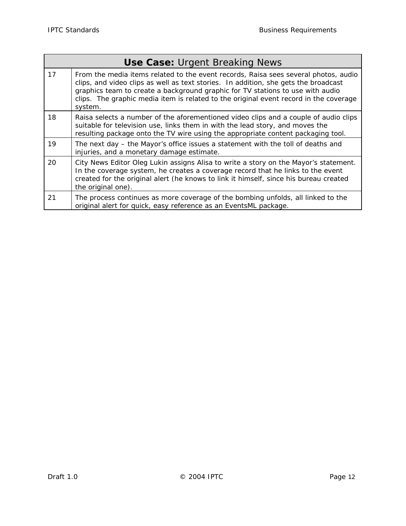$\Gamma$ 

| <b>Use Case: Urgent Breaking News</b> |                                                                                                                                                                                                                                                                                                                                                                  |  |
|---------------------------------------|------------------------------------------------------------------------------------------------------------------------------------------------------------------------------------------------------------------------------------------------------------------------------------------------------------------------------------------------------------------|--|
| 17                                    | From the media items related to the event records, Raisa sees several photos, audio<br>clips, and video clips as well as text stories. In addition, she gets the broadcast<br>graphics team to create a background graphic for TV stations to use with audio<br>clips. The graphic media item is related to the original event record in the coverage<br>system. |  |
| 18                                    | Raisa selects a number of the aforementioned video clips and a couple of audio clips<br>suitable for television use, links them in with the lead story, and moves the<br>resulting package onto the TV wire using the appropriate content packaging tool.                                                                                                        |  |
| 19                                    | The next day – the Mayor's office issues a statement with the toll of deaths and<br>injuries, and a monetary damage estimate.                                                                                                                                                                                                                                    |  |
| 20                                    | City News Editor Oleg Lukin assigns Alisa to write a story on the Mayor's statement.<br>In the coverage system, he creates a coverage record that he links to the event<br>created for the original alert (he knows to link it himself, since his bureau created<br>the original one).                                                                           |  |
| 21                                    | The process continues as more coverage of the bombing unfolds, all linked to the<br>original alert for quick, easy reference as an EventsML package.                                                                                                                                                                                                             |  |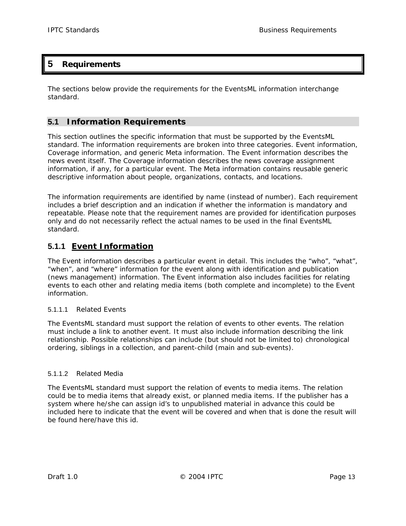## <span id="page-16-0"></span>**5 Requirements**

The sections below provide the requirements for the EventsML information interchange standard.

## **5.1 Information Requirements**

This section outlines the specific information that must be supported by the EventsML standard. The information requirements are broken into three categories. Event information, Coverage information, and generic Meta information. The Event information describes the news event itself. The Coverage information describes the news coverage assignment information, if any, for a particular event. The Meta information contains reusable generic descriptive information about people, organizations, contacts, and locations.

The information requirements are identified by name (instead of number). Each requirement includes a brief description and an indication if whether the information is mandatory and repeatable. Please note that the requirement names are provided for identification purposes only and do not necessarily reflect the actual names to be used in the final EventsML standard.

## **5.1.1 Event Information**

The Event information describes a particular event in detail. This includes the "who", "what", "when", and "where" information for the event along with identification and publication (news management) information. The Event information also includes facilities for relating events to each other and relating media items (both complete and incomplete) to the Event information.

#### 5.1.1.1 Related Events

The EventsML standard must support the relation of events to other events. The relation must include a link to another event. It must also include information describing the link relationship. Possible relationships can include (but should not be limited to) chronological ordering, siblings in a collection, and parent-child (main and sub-events).

#### 5.1.1.2 Related Media

The EventsML standard must support the relation of events to media items. The relation could be to media items that already exist, or planned media items. If the publisher has a system where he/she can assign id's to unpublished material in advance this could be included here to indicate that the event will be covered and when that is done the result will be found here/have this id.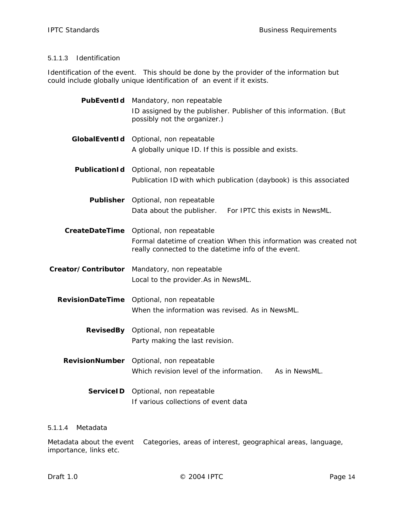#### 5.1.1.3 Identification

Identification of the event. This should be done by the provider of the information but could include globally unique identification of an event if it exists.

|                         | PubEventId Mandatory, non repeatable                                                                                     |
|-------------------------|--------------------------------------------------------------------------------------------------------------------------|
|                         | ID assigned by the publisher. Publisher of this information. (But<br>possibly not the organizer.)                        |
| GlobalEventId           | Optional, non repeatable                                                                                                 |
|                         | A globally unique ID. If this is possible and exists.                                                                    |
| PublicationId           | Optional, non repeatable                                                                                                 |
|                         | Publication ID with which publication (daybook) is this associated                                                       |
| Publisher               | Optional, non repeatable                                                                                                 |
|                         | Data about the publisher. For IPTC this exists in NewsML.                                                                |
| <b>CreateDateTime</b>   | Optional, non repeatable                                                                                                 |
|                         | Formal datetime of creation When this information was created not<br>really connected to the datetime info of the event. |
| Creator/Contributor     | Mandatory, non repeatable                                                                                                |
|                         | Local to the provider. As in NewsML.                                                                                     |
| <b>RevisionDateTime</b> | Optional, non repeatable                                                                                                 |
|                         | When the information was revised. As in NewsML.                                                                          |
|                         | RevisedBy Optional, non repeatable                                                                                       |
|                         | Party making the last revision.                                                                                          |
| <b>RevisionNumber</b>   | Optional, non repeatable                                                                                                 |
|                         | Which revision level of the information.<br>As in NewsML.                                                                |
| <b>ServiceID</b>        | Optional, non repeatable                                                                                                 |
|                         | If various collections of event data                                                                                     |

#### 5.1.1.4 Metadata

Metadata about the event Categories, areas of interest, geographical areas, language, importance, links etc.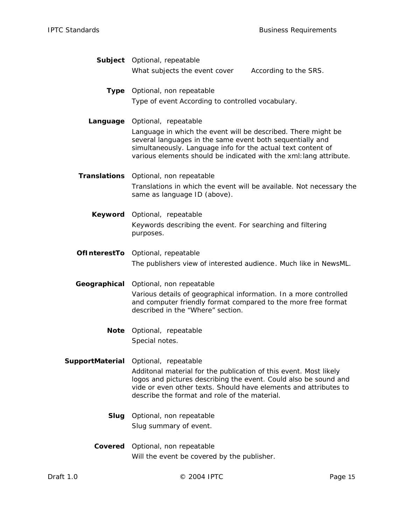|              | Subject Optional, repeatable                                                                                                                                                                                                                                     |
|--------------|------------------------------------------------------------------------------------------------------------------------------------------------------------------------------------------------------------------------------------------------------------------|
|              | What subjects the event cover<br>According to the SRS.                                                                                                                                                                                                           |
| Type         | Optional, non repeatable                                                                                                                                                                                                                                         |
|              | Type of event According to controlled vocabulary.                                                                                                                                                                                                                |
| Language     | Optional, repeatable                                                                                                                                                                                                                                             |
|              | Language in which the event will be described. There might be<br>several languages in the same event both sequentially and<br>simultaneously. Language info for the actual text content of<br>various elements should be indicated with the xml: lang attribute. |
|              | Translations Optional, non repeatable                                                                                                                                                                                                                            |
|              | Translations in which the event will be available. Not necessary the<br>same as language ID (above).                                                                                                                                                             |
| Keyword      | Optional, repeatable                                                                                                                                                                                                                                             |
|              | Keywords describing the event. For searching and filtering                                                                                                                                                                                                       |
|              | purposes.                                                                                                                                                                                                                                                        |
|              | OfInterestTo Optional, repeatable                                                                                                                                                                                                                                |
|              | The publishers view of interested audience. Much like in NewsML.                                                                                                                                                                                                 |
|              |                                                                                                                                                                                                                                                                  |
| Geographical | Optional, non repeatable                                                                                                                                                                                                                                         |
|              | Various details of geographical information. In a more controlled<br>and computer friendly format compared to the more free format<br>described in the "Where" section.                                                                                          |
| Note         | Optional, repeatable                                                                                                                                                                                                                                             |
|              | Special notes.                                                                                                                                                                                                                                                   |
|              | SupportMaterial Optional, repeatable                                                                                                                                                                                                                             |
|              | Additonal material for the publication of this event. Most likely                                                                                                                                                                                                |
|              | logos and pictures describing the event. Could also be sound and<br>vide or even other texts. Should have elements and attributes to<br>describe the format and role of the material.                                                                            |
| Slug         | Optional, non repeatable                                                                                                                                                                                                                                         |
|              | Slug summary of event.                                                                                                                                                                                                                                           |
| Covered      |                                                                                                                                                                                                                                                                  |
|              | Optional, non repeatable<br>Will the event be covered by the publisher.                                                                                                                                                                                          |
|              |                                                                                                                                                                                                                                                                  |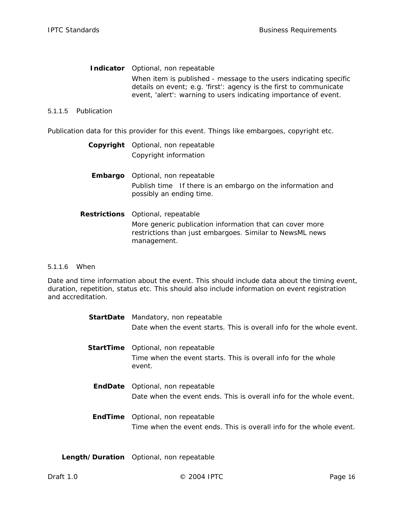**Indicator** *Optional, non repeatable*  When item is published - message to the users indicating specific details on event; e.g. 'first': agency is the first to communicate event, 'alert': warning to users indicating importance of event.

#### 5.1.1.5 Publication

Publication data for this provider for this event. Things like embargoes, copyright etc.

| <b>Copyright</b> Optional, non repeatable |
|-------------------------------------------|
| Copyright information                     |

- **Embargo** *Optional, non repeatable*  Publish time If there is an embargo on the information and possibly an ending time.
- **Restrictions** *Optional, repeatable*  More generic publication information that can cover more restrictions than just embargoes. Similar to NewsML news management.

#### 5.1.1.6 When

Date and time information about the event. This should include data about the timing event, duration, repetition, status etc. This should also include information on event registration and accreditation.

|         | <b>StartDate</b> Mandatory, non repeatable                               |
|---------|--------------------------------------------------------------------------|
|         | Date when the event starts. This is overall info for the whole event.    |
|         | <b>StartTime</b> Optional, non repeatable                                |
|         | Time when the event starts. This is overall info for the whole<br>event. |
|         | <b>EndDate</b> Optional, non repeatable                                  |
|         | Date when the event ends. This is overall info for the whole event.      |
| EndTime | Optional, non repeatable                                                 |
|         | Time when the event ends. This is overall info for the whole event.      |
|         |                                                                          |

**Length/Duration** *Optional, non repeatable*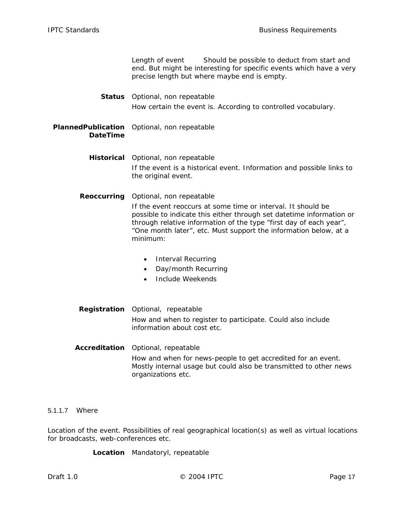Length of event Should be possible to deduct from start and end. But might be interesting for specific events which have a very precise length but where maybe end is empty.

**Status** *Optional, non repeatable*  How certain the event is. According to controlled vocabulary.

#### **PlannedPublication** *Optional, non repeatable*  **DateTime**

**Historical** *Optional, non repeatable*  If the event is a historical event. Information and possible links to the original event.

**Reoccurring** *Optional, non repeatable*  If the event reoccurs at some time or interval. It should be

possible to indicate this either through set datetime information or through relative information of the type "first day of each year", "One month later", etc. Must support the information below, at a minimum:

- Interval Recurring
- Day/month Recurring
- Include Weekends
- **Registration** *Optional, repeatable*  How and when to register to participate. Could also include information about cost etc.
- **Accreditation** *Optional, repeatable*  How and when for news-people to get accredited for an event. Mostly internal usage but could also be transmitted to other news organizations etc.

#### 5.1.1.7 Where

Location of the event. Possibilities of real geographical location(s) as well as virtual locations for broadcasts, web-conferences etc.

**Location** *Mandatoryl, repeatable*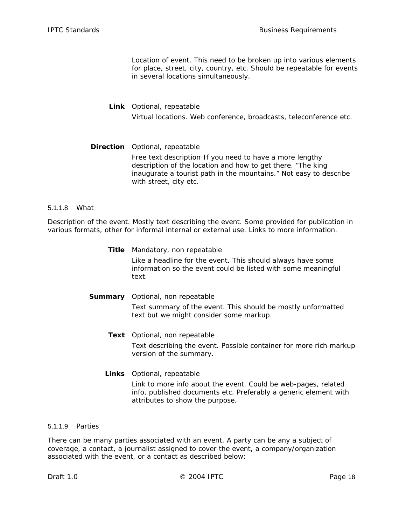Location of event. This need to be broken up into various elements for place, street, city, country, etc. Should be repeatable for events in several locations simultaneously.

#### **Link** *Optional, repeatable*  Virtual locations. Web conference, broadcasts, teleconference etc.

#### **Direction** *Optional, repeatable*  Free text description If you need to have a more lengthy description of the location and how to get there. "The king inaugurate a tourist path in the mountains." Not easy to describe with street, city etc.

#### 5.1.1.8 What

Description of the event. Mostly text describing the event. Some provided for publication in various formats, other for informal internal or external use. Links to more information.

- **Title** *Mandatory, non repeatable*  Like a headline for the event. This should always have some information so the event could be listed with some meaningful text.
- **Summary** *Optional, non repeatable*  Text summary of the event. This should be mostly unformatted text but we might consider some markup.
	- **Text** *Optional, non repeatable*  Text describing the event. Possible container for more rich markup version of the summary.
	- **Links** *Optional, repeatable*  Link to more info about the event. Could be web-pages, related info, published documents etc. Preferably a generic element with attributes to show the purpose.

#### 5.1.1.9 Parties

There can be many parties associated with an event. A party can be any a subject of coverage, a contact, a journalist assigned to cover the event, a company/organization associated with the event, or a contact as described below: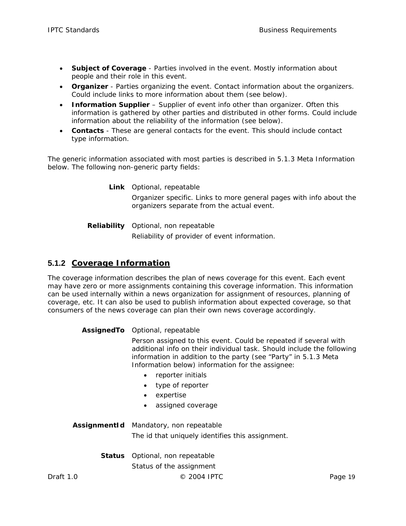- <span id="page-22-0"></span>• **Subject of Coverage** - Parties involved in the event. Mostly information about people and their role in this event.
- **Organizer** Parties organizing the event. Contact information about the organizers. Could include links to more information about them (see below).
- **Information Supplier** Supplier of event info other than organizer. Often this information is gathered by other parties and distributed in other forms. Could include information about the reliability of the information (see below).
- **Contacts** These are general contacts for the event. This should include contact type information.

The generic information associated with most parties is described in [5.1.3 Meta Information](#page-24-1) below. The following non-generic party fields:

> **Link** *Optional, repeatable*  Organizer specific. Links to more general pages with info about the organizers separate from the actual event.

**Reliability** *Optional, non repeatable*  Reliability of provider of event information.

## **5.1.2 Coverage Information**

The coverage information describes the plan of news coverage for this event. Each event may have zero or more assignments containing this coverage information. This information can be used internally within a news organization for assignment of resources, planning of coverage, etc. It can also be used to publish information about expected coverage, so that consumers of the news coverage can plan their own news coverage accordingly.

#### **AssignedTo** *Optional, repeatable*

Person assigned to this event. Could be repeated if several with additional info on their individual task. Should include the following information in addition to the party (see "Party" in [5.1.3 Meta](#page-24-1) [Information](#page-24-1) below) information for the assignee:

- reporter initials
- type of reporter
- expertise
- assigned coverage

**AssignmentId** *Mandatory, non repeatable*  The id that uniquely identifies this assignment.

**Status** *Optional, non repeatable* 

Status of the assignment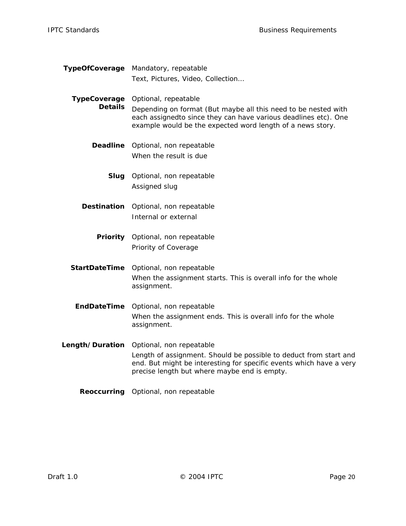**TypeOfCoverage** *Mandatory, repeatable*  Text, Pictures, Video, Collection…

**TypeCoverage** *Optional, repeatable*  **Details** Depending on format (But maybe all this need to be nested with each assignedto since they can have various deadlines etc). One example would be the expected word length of a news story.

- **Deadline** *Optional, non repeatable*  When the result is due
	- **Slug** *Optional, non repeatable*  Assigned slug
- **Destination** *Optional, non repeatable*  Internal or external
	- **Priority** *Optional, non repeatable*  Priority of Coverage

**StartDateTime** *Optional, non repeatable*  When the assignment starts. This is overall info for the whole assignment.

**EndDateTime** *Optional, non repeatable*  When the assignment ends. This is overall info for the whole assignment.

**Length/Duration** *Optional, non repeatable*  Length of assignment. Should be possible to deduct from start and end. But might be interesting for specific events which have a very precise length but where maybe end is empty.

**Reoccurring** *Optional, non repeatable*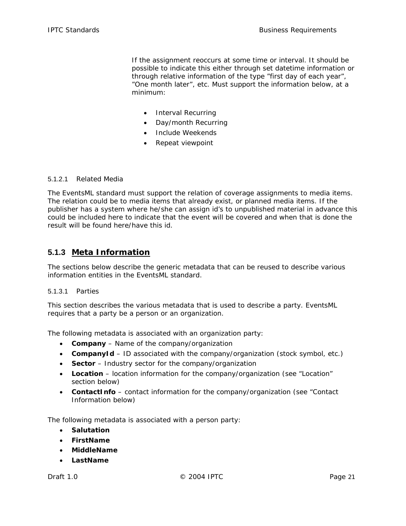<span id="page-24-0"></span>If the assignment reoccurs at some time or interval. It should be possible to indicate this either through set datetime information or through relative information of the type "first day of each year", "One month later", etc. Must support the information below, at a minimum:

- Interval Recurring
- Day/month Recurring
- Include Weekends
- Repeat viewpoint

#### 5.1.2.1 Related Media

The EventsML standard must support the relation of coverage assignments to media items. The relation could be to media items that already exist, or planned media items. If the publisher has a system where he/she can assign id's to unpublished material in advance this could be included here to indicate that the event will be covered and when that is done the result will be found here/have this id.

#### <span id="page-24-1"></span>**5.1.3 Meta Information**

The sections below describe the generic metadata that can be reused to describe various information entities in the EventsML standard.

#### 5.1.3.1 Parties

This section describes the various metadata that is used to describe a party. EventsML requires that a party be a person or an organization.

The following metadata is associated with an organization party:

- **Company** Name of the company/organization
- **CompanyId** ID associated with the company/organization (stock symbol, etc.)
- **Sector** Industry sector for the company/organization
- **Location** location information for the company/organization (see "Location" section below)
- **ContactInfo** contact information for the company/organization (see "Contact Information below)

The following metadata is associated with a person party:

- **Salutation**
- **FirstName**
- **MiddleName**
- **LastName**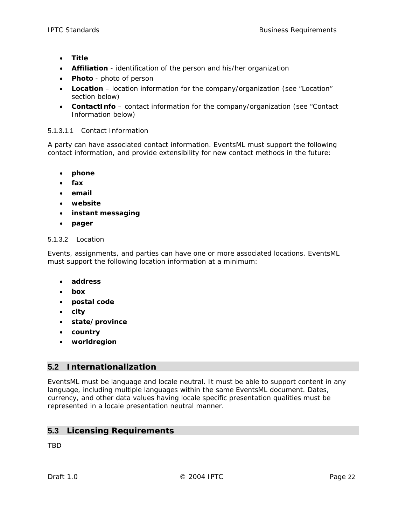- <span id="page-25-0"></span>• **Title**
- **Affiliation** identification of the person and his/her organization
- **Photo** photo of person
- **Location** location information for the company/organization (see "Location" section below)
- **ContactInfo** contact information for the company/organization (see "Contact Information below)

#### 5.1.3.1.1 Contact Information

A party can have associated contact information. EventsML must support the following contact information, and provide extensibility for new contact methods in the future:

- **phone**
- **fax**
- **email**
- **website**
- **instant messaging**
- **pager**

#### 5.1.3.2 Location

Events, assignments, and parties can have one or more associated locations. EventsML must support the following location information at a minimum:

- **address**
- **box**
- **postal code**
- **city**
- **state/province**
- **country**
- **worldregion**

#### **5.2 Internationalization**

EventsML must be language and locale neutral. It must be able to support content in any language, including multiple languages within the same EventsML document. Dates, currency, and other data values having locale specific presentation qualities must be represented in a locale presentation neutral manner.

#### **5.3 Licensing Requirements**

TBD